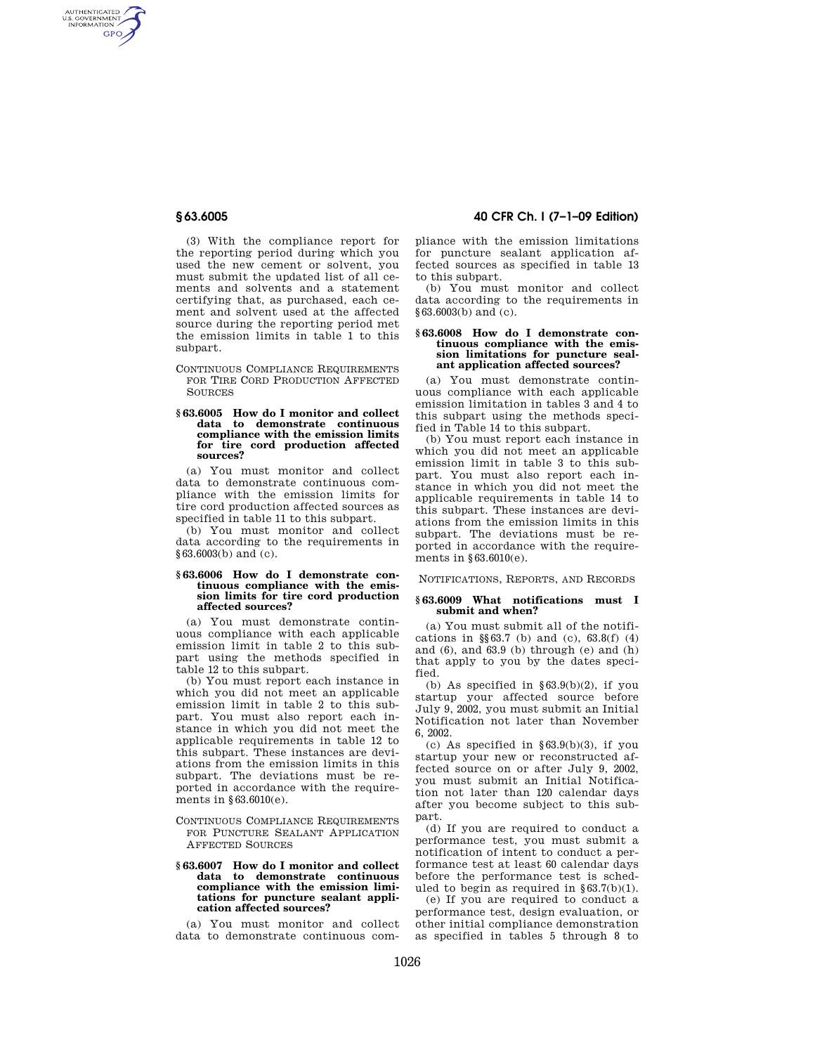AUTHENTICATED<br>U.S. GOVERNMENT<br>INFORMATION **GPO** 

> (3) With the compliance report for the reporting period during which you used the new cement or solvent, you must submit the updated list of all cements and solvents and a statement certifying that, as purchased, each cement and solvent used at the affected source during the reporting period met the emission limits in table 1 to this subpart.

> CONTINUOUS COMPLIANCE REQUIREMENTS FOR TIRE CORD PRODUCTION AFFECTED **SOURCES**

#### **§ 63.6005 How do I monitor and collect data to demonstrate continuous compliance with the emission limits for tire cord production affected sources?**

(a) You must monitor and collect data to demonstrate continuous compliance with the emission limits for tire cord production affected sources as specified in table 11 to this subpart.

(b) You must monitor and collect data according to the requirements in §63.6003(b) and (c).

## **§ 63.6006 How do I demonstrate continuous compliance with the emission limits for tire cord production affected sources?**

(a) You must demonstrate continuous compliance with each applicable emission limit in table 2 to this subpart using the methods specified in table 12 to this subpart.

(b) You must report each instance in which you did not meet an applicable emission limit in table 2 to this subpart. You must also report each instance in which you did not meet the applicable requirements in table 12 to this subpart. These instances are deviations from the emission limits in this subpart. The deviations must be reported in accordance with the requirements in §63.6010(e).

# CONTINUOUS COMPLIANCE REQUIREMENTS FOR PUNCTURE SEALANT APPLICATION AFFECTED SOURCES

## **§ 63.6007 How do I monitor and collect data to demonstrate continuous compliance with the emission limitations for puncture sealant application affected sources?**

(a) You must monitor and collect data to demonstrate continuous com-

# **§ 63.6005 40 CFR Ch. I (7–1–09 Edition)**

pliance with the emission limitations for puncture sealant application affected sources as specified in table 13 to this subpart.

(b) You must monitor and collect data according to the requirements in §63.6003(b) and (c).

## **§ 63.6008 How do I demonstrate continuous compliance with the emission limitations for puncture sealant application affected sources?**

(a) You must demonstrate continuous compliance with each applicable emission limitation in tables 3 and 4 to this subpart using the methods specified in Table 14 to this subpart.

(b) You must report each instance in which you did not meet an applicable emission limit in table 3 to this subpart. You must also report each instance in which you did not meet the applicable requirements in table 14 to this subpart. These instances are deviations from the emission limits in this subpart. The deviations must be reported in accordance with the requirements in §63.6010(e).

NOTIFICATIONS, REPORTS, AND RECORDS

## **§ 63.6009 What notifications must I submit and when?**

(a) You must submit all of the notifications in §§63.7 (b) and (c), 63.8(f) (4) and (6), and 63.9 (b) through (e) and (h) that apply to you by the dates specified.

(b) As specified in  $\S 63.9(b)(2)$ , if you startup your affected source before July 9, 2002, you must submit an Initial Notification not later than November 6, 2002.

(c) As specified in  $\S 63.9(b)(3)$ , if you startup your new or reconstructed affected source on or after July 9, 2002, you must submit an Initial Notification not later than 120 calendar days after you become subject to this subpart.

(d) If you are required to conduct a performance test, you must submit a notification of intent to conduct a performance test at least 60 calendar days before the performance test is scheduled to begin as required in  $§63.7(b)(1)$ .

(e) If you are required to conduct a performance test, design evaluation, or other initial compliance demonstration as specified in tables 5 through 8 to